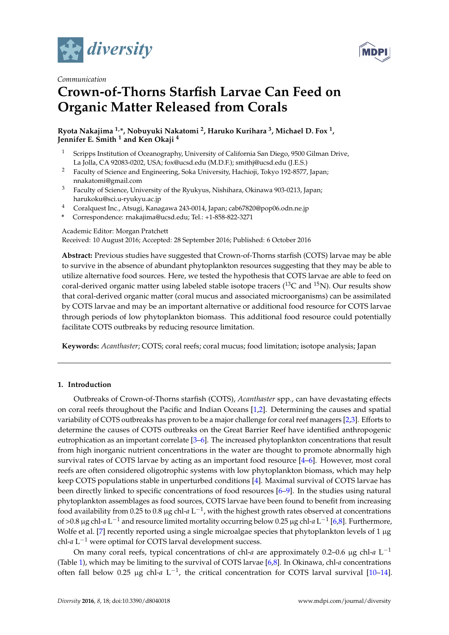



# *Communication* **Crown-of-Thorns Starfish Larvae Can Feed on Organic Matter Released from Corals**

**Ryota Nakajima 1,\*, Nobuyuki Nakatomi <sup>2</sup> , Haruko Kurihara <sup>3</sup> , Michael D. Fox <sup>1</sup> , Jennifer E. Smith <sup>1</sup> and Ken Okaji <sup>4</sup>**

- <sup>1</sup> Scripps Institution of Oceanography, University of California San Diego, 9500 Gilman Drive, La Jolla, CA 92083-0202, USA; fox@ucsd.edu (M.D.F.); smithj@ucsd.edu (J.E.S.)
- <sup>2</sup> Faculty of Science and Engineering, Soka University, Hachioji, Tokyo 192-8577, Japan; nnakatomi@gmail.com
- <sup>3</sup> Faculty of Science, University of the Ryukyus, Nishihara, Okinawa 903-0213, Japan; harukoku@sci.u-ryukyu.ac.jp
- <sup>4</sup> Coralquest Inc., Atsugi, Kanagawa 243-0014, Japan; cab67820@pop06.odn.ne.jp
- **\*** Correspondence: rnakajima@ucsd.edu; Tel.: +1-858-822-3271

Academic Editor: Morgan Pratchett

Received: 10 August 2016; Accepted: 28 September 2016; Published: 6 October 2016

**Abstract:** Previous studies have suggested that Crown-of-Thorns starfish (COTS) larvae may be able to survive in the absence of abundant phytoplankton resources suggesting that they may be able to utilize alternative food sources. Here, we tested the hypothesis that COTS larvae are able to feed on coral-derived organic matter using labeled stable isotope tracers  $(^{13}C$  and  $^{15}N$ ). Our results show that coral-derived organic matter (coral mucus and associated microorganisms) can be assimilated by COTS larvae and may be an important alternative or additional food resource for COTS larvae through periods of low phytoplankton biomass. This additional food resource could potentially facilitate COTS outbreaks by reducing resource limitation.

**Keywords:** *Acanthaster*; COTS; coral reefs; coral mucus; food limitation; isotope analysis; Japan

# **1. Introduction**

Outbreaks of Crown-of-Thorns starfish (COTS), *Acanthaster* spp., can have devastating effects on coral reefs throughout the Pacific and Indian Oceans [\[1,](#page-6-0)[2\]](#page-6-1). Determining the causes and spatial variability of COTS outbreaks has proven to be a major challenge for coral reef managers [\[2](#page-6-1)[,3\]](#page-6-2). Efforts to determine the causes of COTS outbreaks on the Great Barrier Reef have identified anthropogenic eutrophication as an important correlate [\[3](#page-6-2)[–6\]](#page-6-3). The increased phytoplankton concentrations that result from high inorganic nutrient concentrations in the water are thought to promote abnormally high survival rates of COTS larvae by acting as an important food resource [\[4–](#page-6-4)[6\]](#page-6-3). However, most coral reefs are often considered oligotrophic systems with low phytoplankton biomass, which may help keep COTS populations stable in unperturbed conditions [\[4\]](#page-6-4). Maximal survival of COTS larvae has been directly linked to specific concentrations of food resources [\[6](#page-6-3)[–9\]](#page-6-5). In the studies using natural phytoplankton assemblages as food sources, COTS larvae have been found to benefit from increasing food availability from 0.25 to 0.8 µg chl-*a* L<sup>-1</sup>, with the highest growth rates observed at concentrations of >0.8 µg chl-*a* L <sup>−</sup><sup>1</sup> and resource limited mortality occurring below 0.25 µg chl-*a* L −1 [\[6,](#page-6-3)[8\]](#page-6-6). Furthermore, Wolfe et al. [\[7\]](#page-6-7) recently reported using a single microalgae species that phytoplankton levels of 1 µg chl-*a* L <sup>−</sup><sup>1</sup> were optimal for COTS larval development success.

On many coral reefs, typical concentrations of chl-*a* are approximately 0.2–0.6 μg chl-*a* L<sup>-1</sup> (Table [1\)](#page-1-0), which may be limiting to the survival of COTS larvae [\[6,](#page-6-3)[8\]](#page-6-6). In Okinawa, chl-*a* concentrations often fall below 0.25  $\mu$ g chl-*a* L<sup>-1</sup>, the critical concentration for COTS larval survival [\[10–](#page-6-8)[14\]](#page-6-9).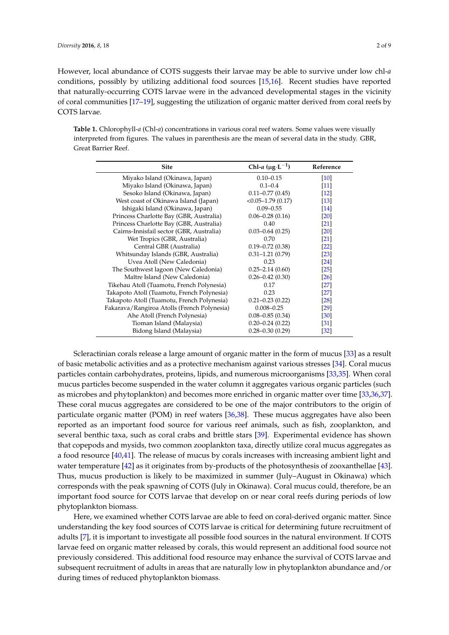However, local abundance of COTS suggests their larvae may be able to survive under low chl-*a* conditions, possibly by utilizing additional food sources [\[15,](#page-6-10)[16\]](#page-6-11). Recent studies have reported that naturally-occurring COTS larvae were in the advanced developmental stages in the vicinity of coral communities [\[17–](#page-6-12)[19\]](#page-6-13), suggesting the utilization of organic matter derived from coral reefs by COTS larvae.

<span id="page-1-0"></span>**Table 1.** Chlorophyll-*a* (Chl-*a*) concentrations in various coral reef waters. Some values were visually interpreted from figures. The values in parenthesis are the mean of several data in the study. GBR, Great Barrier Reef.

| <b>Site</b>                                 | Chl-a $(\mu g \cdot L^{-1})$ | Reference          |
|---------------------------------------------|------------------------------|--------------------|
| Miyako Island (Okinawa, Japan)              | $0.10 - 0.15$                | $\lceil 10 \rceil$ |
| Miyako Island (Okinawa, Japan)              | $0.1 - 0.4$                  | $\lceil 11 \rceil$ |
| Sesoko Island (Okinawa, Japan)              | $0.11 - 0.77(0.45)$          | $[12]$             |
| West coast of Okinawa Island (Japan)        | $<0.05-1.79(0.17)$           | $\lceil 13 \rceil$ |
| Ishigaki Island (Okinawa, Japan)            | $0.09 - 0.55$                | $\vert 14 \vert$   |
| Princess Charlotte Bay (GBR, Australia)     | $0.06 - 0.28(0.16)$          | $\left[20\right]$  |
| Princess Charlotte Bay (GBR, Australia)     | 0.40                         | $\left[ 21\right]$ |
| Cairns-Innisfail sector (GBR, Australia)    | $0.03 - 0.64(0.25)$          | $\left[20\right]$  |
| Wet Tropics (GBR, Australia)                | 0.70                         | $\left[ 21\right]$ |
| Central GBR (Australia)                     | $0.19 - 0.72(0.38)$          | $\left[ 22\right]$ |
| Whitsunday Islands (GBR, Australia)         | $0.31 - 1.21(0.79)$          | $\left[23\right]$  |
| Uvea Atoll (New Caledonia)                  | 0.23                         | $\sqrt{24}$        |
| The Southwest lagoon (New Caledonia)        | $0.25 - 2.14(0.60)$          | $\left[25\right]$  |
| Maître Island (New Caledonia)               | $0.26 - 0.42(0.30)$          | $\left[26\right]$  |
| Tikehau Atoll (Tuamotu, French Polynesia)   | 0.17                         | <b>27</b>          |
| Takapoto Atoll (Tuamotu, French Polynesia)  | 0.23                         | <b>27</b>          |
| Takapoto Atoll (Tuamotu, French Polynesia)  | $0.21 - 0.23$ $(0.22)$       | <b>28</b>          |
| Fakarava/Rangiroa Atolls (French Polynesia) | $0.008 - 0.25$               | $\left[29\right]$  |
| Ahe Atoll (French Polynesia)                | $0.08 - 0.85(0.34)$          | $\left[30\right]$  |
| Tioman Island (Malaysia)                    | $0.20 - 0.24(0.22)$          | $\left 31\right $  |
| Bidong Island (Malaysia)                    | $0.28 - 0.30(0.29)$          | $\left 32\right $  |

Scleractinian corals release a large amount of organic matter in the form of mucus [\[33\]](#page-7-12) as a result of basic metabolic activities and as a protective mechanism against various stresses [\[34\]](#page-7-13). Coral mucus particles contain carbohydrates, proteins, lipids, and numerous microorganisms [\[33](#page-7-12)[,35\]](#page-7-14). When coral mucus particles become suspended in the water column it aggregates various organic particles (such as microbes and phytoplankton) and becomes more enriched in organic matter over time [\[33,](#page-7-12)[36,](#page-7-15)[37\]](#page-7-16). These coral mucus aggregates are considered to be one of the major contributors to the origin of particulate organic matter (POM) in reef waters [\[36,](#page-7-15)[38\]](#page-7-17). These mucus aggregates have also been reported as an important food source for various reef animals, such as fish, zooplankton, and several benthic taxa, such as coral crabs and brittle stars [\[39\]](#page-7-18). Experimental evidence has shown that copepods and mysids, two common zooplankton taxa, directly utilize coral mucus aggregates as a food resource [\[40](#page-7-19)[,41\]](#page-7-20). The release of mucus by corals increases with increasing ambient light and water temperature [\[42\]](#page-7-21) as it originates from by-products of the photosynthesis of zooxanthellae [\[43\]](#page-7-22). Thus, mucus production is likely to be maximized in summer (July–August in Okinawa) which corresponds with the peak spawning of COTS (July in Okinawa). Coral mucus could, therefore, be an important food source for COTS larvae that develop on or near coral reefs during periods of low phytoplankton biomass.

Here, we examined whether COTS larvae are able to feed on coral-derived organic matter. Since understanding the key food sources of COTS larvae is critical for determining future recruitment of adults [\[7\]](#page-6-7), it is important to investigate all possible food sources in the natural environment. If COTS larvae feed on organic matter released by corals, this would represent an additional food source not previously considered. This additional food resource may enhance the survival of COTS larvae and subsequent recruitment of adults in areas that are naturally low in phytoplankton abundance and/or during times of reduced phytoplankton biomass.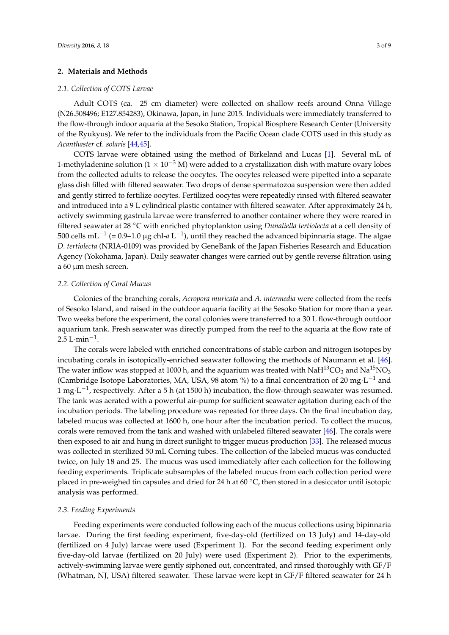# **2. Materials and Methods**

#### *2.1. Collection of COTS Larvae*

Adult COTS (ca. 25 cm diameter) were collected on shallow reefs around Onna Village (N26.508496; E127.854283), Okinawa, Japan, in June 2015. Individuals were immediately transferred to the flow-through indoor aquaria at the Sesoko Station, Tropical Biosphere Research Center (University of the Ryukyus). We refer to the individuals from the Pacific Ocean clade COTS used in this study as *Acanthaster* cf. *solaris* [\[44,](#page-8-0)[45\]](#page-8-1).

COTS larvae were obtained using the method of Birkeland and Lucas [\[1\]](#page-6-0). Several mL of 1-methyladenine solution ( $1 \times 10^{-3}$  M) were added to a crystallization dish with mature ovary lobes from the collected adults to release the oocytes. The oocytes released were pipetted into a separate glass dish filled with filtered seawater. Two drops of dense spermatozoa suspension were then added and gently stirred to fertilize oocytes. Fertilized oocytes were repeatedly rinsed with filtered seawater and introduced into a 9 L cylindrical plastic container with filtered seawater. After approximately 24 h, actively swimming gastrula larvae were transferred to another container where they were reared in filtered seawater at 28 ◦C with enriched phytoplankton using *Dunaliella tertiolecta* at a cell density of 500 cells mL−<sup>1</sup> (= 0.9–1.0 µg chl-*a* L −1 ), until they reached the advanced bipinnaria stage. The algae *D. tertiolecta* (NRIA-0109) was provided by GeneBank of the Japan Fisheries Research and Education Agency (Yokohama, Japan). Daily seawater changes were carried out by gentle reverse filtration using a 60 µm mesh screen.

#### *2.2. Collection of Coral Mucus*

Colonies of the branching corals, *Acropora muricata* and *A. intermedia* were collected from the reefs of Sesoko Island, and raised in the outdoor aquaria facility at the Sesoko Station for more than a year. Two weeks before the experiment, the coral colonies were transferred to a 30 L flow-through outdoor aquarium tank. Fresh seawater was directly pumped from the reef to the aquaria at the flow rate of 2.5 L·min<sup>-1</sup>.

The corals were labeled with enriched concentrations of stable carbon and nitrogen isotopes by incubating corals in isotopically-enriched seawater following the methods of Naumann et al. [\[46\]](#page-8-2). The water inflow was stopped at 1000 h, and the aquarium was treated with  $NAH^{13}CO_3$  and  $Na^{15}NO_3$ (Cambridge Isotope Laboratories, MA, USA, 98 atom %) to a final concentration of 20 mg $\cdot$ L $^{-1}$  and 1 mg⋅L<sup>-1</sup>, respectively. After a 5 h (at 1500 h) incubation, the flow-through seawater was resumed. The tank was aerated with a powerful air-pump for sufficient seawater agitation during each of the incubation periods. The labeling procedure was repeated for three days. On the final incubation day, labeled mucus was collected at 1600 h, one hour after the incubation period. To collect the mucus, corals were removed from the tank and washed with unlabeled filtered seawater  $[46]$ . The corals were then exposed to air and hung in direct sunlight to trigger mucus production [\[33\]](#page-7-12). The released mucus was collected in sterilized 50 mL Corning tubes. The collection of the labeled mucus was conducted twice, on July 18 and 25. The mucus was used immediately after each collection for the following feeding experiments. Triplicate subsamples of the labeled mucus from each collection period were placed in pre-weighed tin capsules and dried for 24 h at 60 ◦C, then stored in a desiccator until isotopic analysis was performed.

# *2.3. Feeding Experiments*

Feeding experiments were conducted following each of the mucus collections using bipinnaria larvae. During the first feeding experiment, five-day-old (fertilized on 13 July) and 14-day-old (fertilized on 4 July) larvae were used (Experiment 1). For the second feeding experiment only five-day-old larvae (fertilized on 20 July) were used (Experiment 2). Prior to the experiments, actively-swimming larvae were gently siphoned out, concentrated, and rinsed thoroughly with GF/F (Whatman, NJ, USA) filtered seawater. These larvae were kept in GF/F filtered seawater for 24 h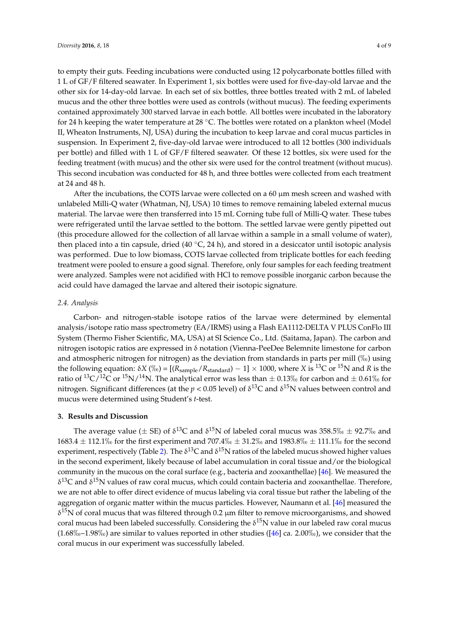to empty their guts. Feeding incubations were conducted using 12 polycarbonate bottles filled with 1 L of GF/F filtered seawater. In Experiment 1, six bottles were used for five-day-old larvae and the other six for 14-day-old larvae. In each set of six bottles, three bottles treated with 2 mL of labeled mucus and the other three bottles were used as controls (without mucus). The feeding experiments contained approximately 300 starved larvae in each bottle. All bottles were incubated in the laboratory for 24 h keeping the water temperature at 28 °C. The bottles were rotated on a plankton wheel (Model II, Wheaton Instruments, NJ, USA) during the incubation to keep larvae and coral mucus particles in suspension. In Experiment 2, five-day-old larvae were introduced to all 12 bottles (300 individuals per bottle) and filled with 1 L of GF/F filtered seawater. Of these 12 bottles, six were used for the feeding treatment (with mucus) and the other six were used for the control treatment (without mucus). This second incubation was conducted for 48 h, and three bottles were collected from each treatment at 24 and 48 h.

After the incubations, the COTS larvae were collected on a  $60 \mu m$  mesh screen and washed with unlabeled Milli-Q water (Whatman, NJ, USA) 10 times to remove remaining labeled external mucus material. The larvae were then transferred into 15 mL Corning tube full of Milli-Q water. These tubes were refrigerated until the larvae settled to the bottom. The settled larvae were gently pipetted out (this procedure allowed for the collection of all larvae within a sample in a small volume of water), then placed into a tin capsule, dried (40  $^{\circ}$ C, 24 h), and stored in a desiccator until isotopic analysis was performed. Due to low biomass, COTS larvae collected from triplicate bottles for each feeding treatment were pooled to ensure a good signal. Therefore, only four samples for each feeding treatment were analyzed. Samples were not acidified with HCl to remove possible inorganic carbon because the acid could have damaged the larvae and altered their isotopic signature.

#### *2.4. Analysis*

Carbon- and nitrogen-stable isotope ratios of the larvae were determined by elemental analysis/isotope ratio mass spectrometry (EA/IRMS) using a Flash EA1112-DELTA V PLUS ConFlo III System (Thermo Fisher Scientific, MA, USA) at SI Science Co., Ltd. (Saitama, Japan). The carbon and nitrogen isotopic ratios are expressed in δ notation (Vienna-PeeDee Belemnite limestone for carbon and atmospheric nitrogen for nitrogen) as the deviation from standards in parts per mill  $(\%_0)$  using the following equation:  $\delta X$  ( $\%$ ) = [( $R_{sample}/R_{standard}$ ) – 1] × 1000, where *X* is <sup>13</sup>C or <sup>15</sup>N and *R* is the ratio of <sup>13</sup>C/<sup>12</sup>C or <sup>15</sup>N/<sup>14</sup>N. The analytical error was less than  $\pm$  0.13‰ for carbon and  $\pm$  0.61‰ for nitrogen. Significant differences (at the  $p < 0.05$  level) of δ<sup>13</sup>C and δ<sup>15</sup>N values between control and mucus were determined using Student's *t*-test.

# **3. Results and Discussion**

The average value ( $\pm$  SE) of  $\delta^{13}$ C and  $\delta^{15}$ N of labeled coral mucus was 358.5\%  $\pm$  92.7\% and  $1683.4 \pm 112.1\%$  for the first experiment and  $707.4\%$   $\pm$  31.2\% and 1983.8\%  $\pm$  111.1\% for the second experiment, respectively (Table [2\)](#page-4-0). The  $\delta^{13}C$  and  $\delta^{15}N$  ratios of the labeled mucus showed higher values in the second experiment, likely because of label accumulation in coral tissue and/or the biological community in the mucous on the coral surface (e.g., bacteria and zooxanthellae) [\[46\]](#page-8-2). We measured the  $δ<sup>13</sup>C$  and  $δ<sup>15</sup>N$  values of raw coral mucus, which could contain bacteria and zooxanthellae. Therefore, we are not able to offer direct evidence of mucus labeling via coral tissue but rather the labeling of the aggregation of organic matter within the mucus particles. However, Naumann et al. [\[46\]](#page-8-2) measured the  $δ<sup>15</sup>N$  of coral mucus that was filtered through 0.2  $μm$  filter to remove microorganisms, and showed coral mucus had been labeled successfully. Considering the  $\delta^{15}N$  value in our labeled raw coral mucus  $(1.68\% \text{e}^{-1.98\%})$  are similar to values reported in other studies ([\[46\]](#page-8-2) ca. 2.00%), we consider that the coral mucus in our experiment was successfully labeled.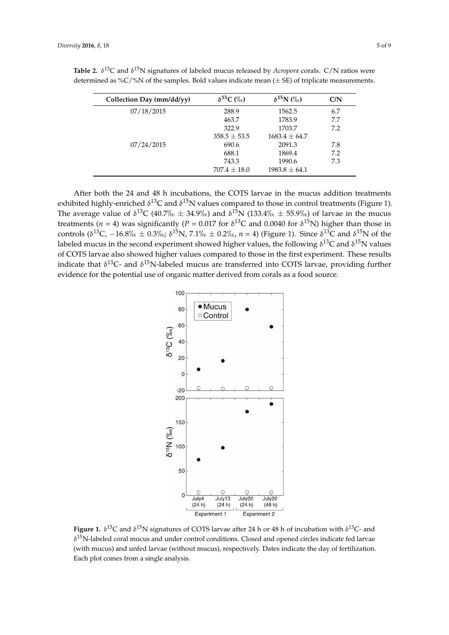| Collection Day (mm/dd/yy) | $\delta^{13}C$ (%) | $\delta^{15}N$ (%) | C/N |
|---------------------------|--------------------|--------------------|-----|
| 07/18/2015                | 288.9              | 1562.5             | 6.7 |
|                           | 463.7              | 1783.9             | 7.7 |
|                           | 322.9              | 1703.7             | 7.2 |
|                           | $358.5 \pm 53.5$   | $1683.4 \pm 64.7$  |     |
| 07/24/2015                | 690.6              | 2091.3             | 7.8 |
|                           | 688.1              | 1869.4             | 7.2 |
|                           | 743.3              | 1990.6             | 7.3 |
|                           | $707.4 \pm 18.0$   | $1983.8 \pm 64.1$  |     |

<span id="page-4-0"></span>**Table 2.**  $\delta^{13}$ C and  $\delta^{15}$ N signatures of labeled mucus released by *Acropora* corals. C/N ratios were determined as %C/%N of the samples. Bold values indicate mean  $(\pm S_E)$  of triplicate measurements.

<span id="page-4-1"></span>After both the 24 and 48 h incubations, the COTS larvae in the mucus addition treatments. exhibited highly-enriched δ<sup>13</sup>C and δ<sup>15</sup>N values compared to those in control treatments (Figure [1\)](#page-4-1). The average value of  $\delta^{13}C$  (40.7<sub>%</sub>  $\pm$  34.9<sub>%</sub>) and  $\delta^{15}N$  (133.4<sub>%</sub>  $\pm$  55.9<sub>%</sub>) of larvae in the mucus treatments (*n* = 4) was significantly (*P* = 0.017 for  $\delta^{13}$ C and 0.0040 for  $\delta^{15}$ N) higher than those in controls ( $\delta^{13}$ C,  $-16.8\%$   $\pm$  0.3\%;  $\delta^{15}$ N,  $7.1\%$   $\pm$  0.2\%,  $n = 4$ ) (Figure [1\)](#page-4-1). Since  $\delta^{13}$ C and  $\delta^{15}$ N of the labeled mucus in the second experiment showed higher values, the following  $\delta^{13}C$  and  $\delta^{15}N$  values of COTS larvae also showed higher values compared to those in the first experiment. These results indicate that  $\delta^{13}$ C- and  $\delta^{15}$ N-labeled mucus are transferred into COTS larvae, providing further evidence for the potential use of organic matter derived from corals as a food source.  $700 \pm 0.37/00$  and  $0 \pm 0.33/00 \pm 0.33/00$  o values compared to those in the mst exp



**Figure 1.**  $\delta^{13}$ C and  $\delta^{15}$ N signatures of COTS larvae after 24 h or 48 h of incubation with  $\delta^{13}$ C- and  $\delta^{15}$ N-labeled coral mucus and under control conditions. Closed and opened circles indicate fed larvae (with mucus) and unfed larvae (without mucus), respectively. Dates indicate the day of fertilization. plot comes from a single analysis. Each plot comes from a single analysis.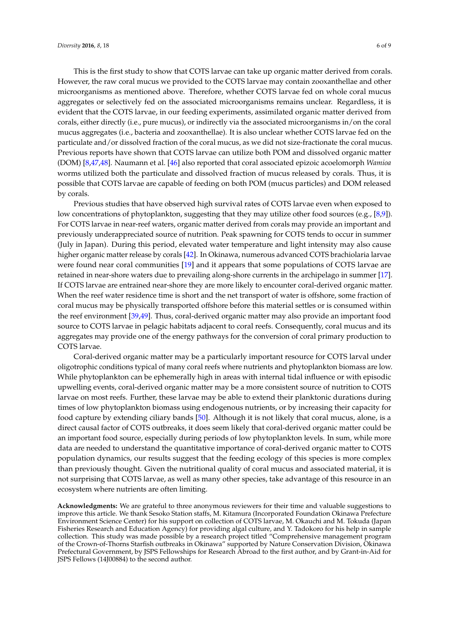This is the first study to show that COTS larvae can take up organic matter derived from corals. However, the raw coral mucus we provided to the COTS larvae may contain zooxanthellae and other microorganisms as mentioned above. Therefore, whether COTS larvae fed on whole coral mucus aggregates or selectively fed on the associated microorganisms remains unclear. Regardless, it is evident that the COTS larvae, in our feeding experiments, assimilated organic matter derived from corals, either directly (i.e., pure mucus), or indirectly via the associated microorganisms in/on the coral mucus aggregates (i.e., bacteria and zooxanthellae). It is also unclear whether COTS larvae fed on the particulate and/or dissolved fraction of the coral mucus, as we did not size-fractionate the coral mucus. Previous reports have shown that COTS larvae can utilize both POM and dissolved organic matter (DOM) [\[8](#page-6-6)[,47](#page-8-3)[,48\]](#page-8-4). Naumann et al. [\[46\]](#page-8-2) also reported that coral associated epizoic acoelomorph *Wamioa* worms utilized both the particulate and dissolved fraction of mucus released by corals. Thus, it is possible that COTS larvae are capable of feeding on both POM (mucus particles) and DOM released by corals.

Previous studies that have observed high survival rates of COTS larvae even when exposed to low concentrations of phytoplankton, suggesting that they may utilize other food sources (e.g., [\[8](#page-6-6)[,9\]](#page-6-5)). For COTS larvae in near-reef waters, organic matter derived from corals may provide an important and previously underappreciated source of nutrition. Peak spawning for COTS tends to occur in summer (July in Japan). During this period, elevated water temperature and light intensity may also cause higher organic matter release by corals [\[42\]](#page-7-21). In Okinawa, numerous advanced COTS brachiolaria larvae were found near coral communities [\[19\]](#page-6-13) and it appears that some populations of COTS larvae are retained in near-shore waters due to prevailing along-shore currents in the archipelago in summer [\[17\]](#page-6-12). If COTS larvae are entrained near-shore they are more likely to encounter coral-derived organic matter. When the reef water residence time is short and the net transport of water is offshore, some fraction of coral mucus may be physically transported offshore before this material settles or is consumed within the reef environment [\[39](#page-7-18)[,49\]](#page-8-5). Thus, coral-derived organic matter may also provide an important food source to COTS larvae in pelagic habitats adjacent to coral reefs. Consequently, coral mucus and its aggregates may provide one of the energy pathways for the conversion of coral primary production to COTS larvae.

Coral-derived organic matter may be a particularly important resource for COTS larval under oligotrophic conditions typical of many coral reefs where nutrients and phytoplankton biomass are low. While phytoplankton can be ephemerally high in areas with internal tidal influence or with episodic upwelling events, coral-derived organic matter may be a more consistent source of nutrition to COTS larvae on most reefs. Further, these larvae may be able to extend their planktonic durations during times of low phytoplankton biomass using endogenous nutrients, or by increasing their capacity for food capture by extending ciliary bands [\[50\]](#page-8-6). Although it is not likely that coral mucus, alone, is a direct causal factor of COTS outbreaks, it does seem likely that coral-derived organic matter could be an important food source, especially during periods of low phytoplankton levels. In sum, while more data are needed to understand the quantitative importance of coral-derived organic matter to COTS population dynamics, our results suggest that the feeding ecology of this species is more complex than previously thought. Given the nutritional quality of coral mucus and associated material, it is not surprising that COTS larvae, as well as many other species, take advantage of this resource in an ecosystem where nutrients are often limiting.

**Acknowledgments:** We are grateful to three anonymous reviewers for their time and valuable suggestions to improve this article. We thank Sesoko Station staffs, M. Kitamura (Incorporated Foundation Okinawa Prefecture Environment Science Center) for his support on collection of COTS larvae, M. Okauchi and M. Tokuda (Japan Fisheries Research and Education Agency) for providing algal culture, and Y. Tadokoro for his help in sample collection. This study was made possible by a research project titled "Comprehensive management program of the Crown-of-Thorns Starfish outbreaks in Okinawa" supported by Nature Conservation Division, Okinawa Prefectural Government, by JSPS Fellowships for Research Abroad to the first author, and by Grant-in-Aid for JSPS Fellows (14J00884) to the second author.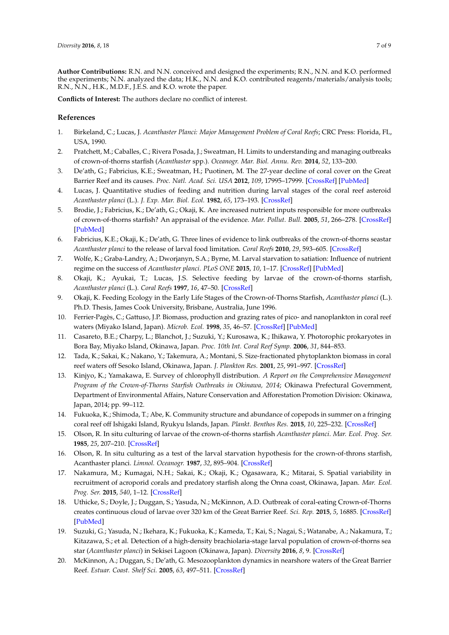**Author Contributions:** R.N. and N.N. conceived and designed the experiments; R.N., N.N. and K.O. performed the experiments; N.N. analyzed the data; H.K., N.N. and K.O. contributed reagents/materials/analysis tools; R.N., N.N., H.K., M.D.F., J.E.S. and K.O. wrote the paper.

**Conflicts of Interest:** The authors declare no conflict of interest.

# **References**

- <span id="page-6-0"></span>1. Birkeland, C.; Lucas, J. *Acanthaster Planci: Major Management Problem of Coral Reefs*; CRC Press: Florida, FL, USA, 1990.
- <span id="page-6-1"></span>2. Pratchett, M.; Caballes, C.; Rivera Posada, J.; Sweatman, H. Limits to understanding and managing outbreaks of crown-of-thorns starfish (*Acanthaster* spp.). *Oceanogr. Mar. Biol. Annu. Rev.* **2014**, *52*, 133–200.
- <span id="page-6-2"></span>3. De'ath, G.; Fabricius, K.E.; Sweatman, H.; Puotinen, M. The 27-year decline of coral cover on the Great Barrier Reef and its causes. *Proc. Natl. Acad. Sci. USA* **2012**, *109*, 17995–17999. [\[CrossRef\]](http://dx.doi.org/10.1073/pnas.1208909109) [\[PubMed\]](http://www.ncbi.nlm.nih.gov/pubmed/23027961)
- <span id="page-6-4"></span>4. Lucas, J. Quantitative studies of feeding and nutrition during larval stages of the coral reef asteroid *Acanthaster planci* (L.). *J. Exp. Mar. Biol. Ecol.* **1982**, *65*, 173–193. [\[CrossRef\]](http://dx.doi.org/10.1016/0022-0981(82)90043-0)
- 5. Brodie, J.; Fabricius, K.; De'ath, G.; Okaji, K. Are increased nutrient inputs responsible for more outbreaks of crown-of-thorns starfish? An appraisal of the evidence. *Mar. Pollut. Bull.* **2005**, *51*, 266–278. [\[CrossRef\]](http://dx.doi.org/10.1016/j.marpolbul.2004.10.035) [\[PubMed\]](http://www.ncbi.nlm.nih.gov/pubmed/15757727)
- <span id="page-6-3"></span>6. Fabricius, K.E.; Okaji, K.; De'ath, G. Three lines of evidence to link outbreaks of the crown-of-thorns seastar *Acanthaster planci* to the release of larval food limitation. *Coral Reefs* **2010**, *29*, 593–605. [\[CrossRef\]](http://dx.doi.org/10.1007/s00338-010-0628-z)
- <span id="page-6-7"></span>7. Wolfe, K.; Graba-Landry, A.; Dworjanyn, S.A.; Byrne, M. Larval starvation to satiation: Influence of nutrient regime on the success of *Acanthaster planci*. *PLoS ONE* **2015**, *10*, 1–17. [\[CrossRef\]](http://dx.doi.org/10.1371/journal.pone.0122010) [\[PubMed\]](http://www.ncbi.nlm.nih.gov/pubmed/25790074)
- <span id="page-6-6"></span>8. Okaji, K.; Ayukai, T.; Lucas, J.S. Selective feeding by larvae of the crown-of-thorns starfish, *Acanthaster planci* (L.). *Coral Reefs* **1997**, *16*, 47–50. [\[CrossRef\]](http://dx.doi.org/10.1007/s003380050058)
- <span id="page-6-5"></span>9. Okaji, K. Feeding Ecology in the Early Life Stages of the Crown-of-Thorns Starfish, *Acanthaster planci* (L.). Ph.D. Thesis, James Cook University, Brisbane, Australia, June 1996.
- <span id="page-6-8"></span>10. Ferrier-Pagès, C.; Gattuso, J.P. Biomass, production and grazing rates of pico- and nanoplankton in coral reef waters (Miyako Island, Japan). *Microb. Ecol.* **1998**, *35*, 46–57. [\[CrossRef\]](http://dx.doi.org/10.1007/s002489900059) [\[PubMed\]](http://www.ncbi.nlm.nih.gov/pubmed/9459658)
- <span id="page-6-14"></span>11. Casareto, B.E.; Charpy, L.; Blanchot, J.; Suzuki, Y.; Kurosawa, K.; Ihikawa, Y. Photorophic prokaryotes in Bora Bay, Miyako Island, Okinawa, Japan. *Proc. 10th Int. Coral Reef Symp.* **2006**, *31*, 844–853.
- <span id="page-6-15"></span>12. Tada, K.; Sakai, K.; Nakano, Y.; Takemura, A.; Montani, S. Size-fractionated phytoplankton biomass in coral reef waters off Sesoko Island, Okinawa, Japan. *J. Plankton Res.* **2001**, *25*, 991–997. [\[CrossRef\]](http://dx.doi.org/10.1093/plankt/25.8.991)
- <span id="page-6-16"></span>13. Kinjyo, K.; Yamakawa, E. Survey of chlorophyll distribution. *A Report on the Comprehensive Management Program of the Crown-of-Thorns Starfish Outbreaks in Okinawa, 2014*; Okinawa Prefectural Government, Department of Environmental Affairs, Nature Conservation and Afforestation Promotion Division: Okinawa, Japan, 2014; pp. 99–112.
- <span id="page-6-9"></span>14. Fukuoka, K.; Shimoda, T.; Abe, K. Community structure and abundance of copepods in summer on a fringing coral reef off Ishigaki Island, Ryukyu Islands, Japan. *Plankt. Benthos Res.* **2015**, *10*, 225–232. [\[CrossRef\]](http://dx.doi.org/10.3800/pbr.10.225)
- <span id="page-6-10"></span>15. Olson, R. In situ culturing of larvae of the crown-of-thorns starfish *Acanthaster planci*. *Mar. Ecol. Prog. Ser.* **1985**, *25*, 207–210. [\[CrossRef\]](http://dx.doi.org/10.3354/meps025207)
- <span id="page-6-11"></span>16. Olson, R. In situ culturing as a test of the larval starvation hypothesis for the crown-of-throns starfish, Acanthaster planci. *Limnol. Oceanogr.* **1987**, *32*, 895–904. [\[CrossRef\]](http://dx.doi.org/10.4319/lo.1987.32.4.0895)
- <span id="page-6-12"></span>17. Nakamura, M.; Kumagai, N.H.; Sakai, K.; Okaji, K.; Ogasawara, K.; Mitarai, S. Spatial variability in recruitment of acroporid corals and predatory starfish along the Onna coast, Okinawa, Japan. *Mar. Ecol. Prog. Ser.* **2015**, *540*, 1–12. [\[CrossRef\]](http://dx.doi.org/10.3354/meps11525)
- 18. Uthicke, S.; Doyle, J.; Duggan, S.; Yasuda, N.; McKinnon, A.D. Outbreak of coral-eating Crown-of-Thorns creates continuous cloud of larvae over 320 km of the Great Barrier Reef. *Sci. Rep.* **2015**, *5*, 16885. [\[CrossRef\]](http://dx.doi.org/10.1038/srep16885) [\[PubMed\]](http://www.ncbi.nlm.nih.gov/pubmed/26592431)
- <span id="page-6-13"></span>19. Suzuki, G.; Yasuda, N.; Ikehara, K.; Fukuoka, K.; Kameda, T.; Kai, S.; Nagai, S.; Watanabe, A.; Nakamura, T.; Kitazawa, S.; et al. Detection of a high-density brachiolaria-stage larval population of crown-of-thorns sea star (*Acanthaster planci*) in Sekisei Lagoon (Okinawa, Japan). *Diversity* **2016**, *8*, 9. [\[CrossRef\]](http://dx.doi.org/10.3390/d8020009)
- <span id="page-6-17"></span>20. McKinnon, A.; Duggan, S.; De'ath, G. Mesozooplankton dynamics in nearshore waters of the Great Barrier Reef. *Estuar. Coast. Shelf Sci.* **2005**, *63*, 497–511. [\[CrossRef\]](http://dx.doi.org/10.1016/j.ecss.2004.12.011)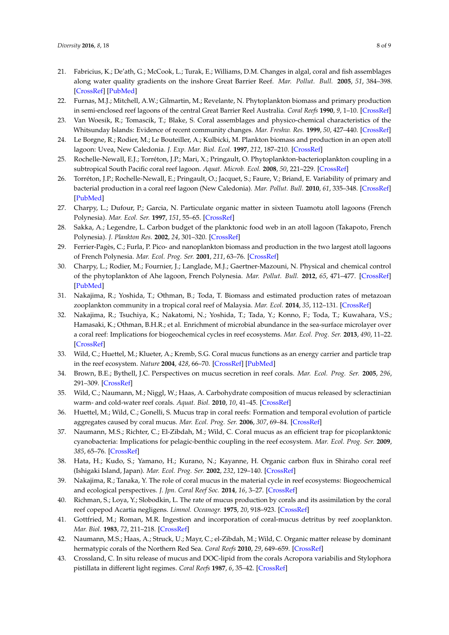- <span id="page-7-0"></span>21. Fabricius, K.; De'ath, G.; McCook, L.; Turak, E.; Williams, D.M. Changes in algal, coral and fish assemblages along water quality gradients on the inshore Great Barrier Reef. *Mar. Pollut. Bull.* **2005**, *51*, 384–398. [\[CrossRef\]](http://dx.doi.org/10.1016/j.marpolbul.2004.10.041) [\[PubMed\]](http://www.ncbi.nlm.nih.gov/pubmed/15757737)
- <span id="page-7-1"></span>22. Furnas, M.J.; Mitchell, A.W.; Gilmartin, M.; Revelante, N. Phytoplankton biomass and primary production in semi-enclosed reef lagoons of the central Great Barrier Reel Australia. *Coral Reefs* **1990**, *9*, 1–10. [\[CrossRef\]](http://dx.doi.org/10.1007/BF00686716)
- <span id="page-7-2"></span>23. Van Woesik, R.; Tomascik, T.; Blake, S. Coral assemblages and physico-chemical characteristics of the Whitsunday Islands: Evidence of recent community changes. *Mar. Freshw. Res.* **1999**, *50*, 427–440. [\[CrossRef\]](http://dx.doi.org/10.1071/MF97046)
- <span id="page-7-3"></span>24. Le Borgne, R.; Rodier, M.; Le Bouteiller, A.; Kulbicki, M. Plankton biomass and production in an open atoll lagoon: Uvea, New Caledonia. *J. Exp. Mar. Biol. Ecol.* **1997**, *212*, 187–210. [\[CrossRef\]](http://dx.doi.org/10.1016/S0022-0981(96)02749-9)
- <span id="page-7-4"></span>25. Rochelle-Newall, E.J.; Torréton, J.P.; Mari, X.; Pringault, O. Phytoplankton-bacterioplankton coupling in a subtropical South Pacific coral reef lagoon. *Aquat. Microb. Ecol.* **2008**, *50*, 221–229. [\[CrossRef\]](http://dx.doi.org/10.3354/ame01158)
- <span id="page-7-5"></span>26. Torréton, J.P.; Rochelle-Newall, E.; Pringault, O.; Jacquet, S.; Faure, V.; Briand, E. Variability of primary and bacterial production in a coral reef lagoon (New Caledonia). *Mar. Pollut. Bull.* **2010**, *61*, 335–348. [\[CrossRef\]](http://dx.doi.org/10.1016/j.marpolbul.2010.06.019) [\[PubMed\]](http://www.ncbi.nlm.nih.gov/pubmed/20619862)
- <span id="page-7-6"></span>27. Charpy, L.; Dufour, P.; Garcia, N. Particulate organic matter in sixteen Tuamotu atoll lagoons (French Polynesia). *Mar. Ecol. Ser.* **1997**, *151*, 55–65. [\[CrossRef\]](http://dx.doi.org/10.3354/meps151055)
- <span id="page-7-7"></span>28. Sakka, A.; Legendre, L. Carbon budget of the planktonic food web in an atoll lagoon (Takapoto, French Polynesia). *J. Plankton Res.* **2002**, *24*, 301–320. [\[CrossRef\]](http://dx.doi.org/10.1093/plankt/24.4.301)
- <span id="page-7-8"></span>29. Ferrier-Pagès, C.; Furla, P. Pico- and nanoplankton biomass and production in the two largest atoll lagoons of French Polynesia. *Mar. Ecol. Prog. Ser.* **2001**, *211*, 63–76. [\[CrossRef\]](http://dx.doi.org/10.3354/meps211063)
- <span id="page-7-9"></span>30. Charpy, L.; Rodier, M.; Fournier, J.; Langlade, M.J.; Gaertner-Mazouni, N. Physical and chemical control of the phytoplankton of Ahe lagoon, French Polynesia. *Mar. Pollut. Bull.* **2012**, *65*, 471–477. [\[CrossRef\]](http://dx.doi.org/10.1016/j.marpolbul.2011.12.026) [\[PubMed\]](http://www.ncbi.nlm.nih.gov/pubmed/22260845)
- <span id="page-7-10"></span>31. Nakajima, R.; Yoshida, T.; Othman, B.; Toda, T. Biomass and estimated production rates of metazoan zooplankton community in a tropical coral reef of Malaysia. *Mar. Ecol.* **2014**, *35*, 112–131. [\[CrossRef\]](http://dx.doi.org/10.1111/maec.12062)
- <span id="page-7-11"></span>32. Nakajima, R.; Tsuchiya, K.; Nakatomi, N.; Yoshida, T.; Tada, Y.; Konno, F.; Toda, T.; Kuwahara, V.S.; Hamasaki, K.; Othman, B.H.R.; et al. Enrichment of microbial abundance in the sea-surface microlayer over a coral reef: Implications for biogeochemical cycles in reef ecosystems. *Mar. Ecol. Prog. Ser.* **2013**, *490*, 11–22. [\[CrossRef\]](http://dx.doi.org/10.3354/meps10481)
- <span id="page-7-12"></span>33. Wild, C.; Huettel, M.; Klueter, A.; Kremb, S.G. Coral mucus functions as an energy carrier and particle trap in the reef ecosystem. *Nature* **2004**, *428*, 66–70. [\[CrossRef\]](http://dx.doi.org/10.1038/nature02344) [\[PubMed\]](http://www.ncbi.nlm.nih.gov/pubmed/14999280)
- <span id="page-7-13"></span>34. Brown, B.E.; Bythell, J.C. Perspectives on mucus secretion in reef corals. *Mar. Ecol. Prog. Ser.* **2005**, *296*, 291–309. [\[CrossRef\]](http://dx.doi.org/10.3354/meps296291)
- <span id="page-7-14"></span>35. Wild, C.; Naumann, M.; Niggl, W.; Haas, A. Carbohydrate composition of mucus released by scleractinian warm- and cold-water reef corals. *Aquat. Biol.* **2010**, *10*, 41–45. [\[CrossRef\]](http://dx.doi.org/10.3354/ab00269)
- <span id="page-7-15"></span>36. Huettel, M.; Wild, C.; Gonelli, S. Mucus trap in coral reefs: Formation and temporal evolution of particle aggregates caused by coral mucus. *Mar. Ecol. Prog. Ser.* **2006**, *307*, 69–84. [\[CrossRef\]](http://dx.doi.org/10.3354/meps307069)
- <span id="page-7-16"></span>37. Naumann, M.S.; Richter, C.; El-Zibdah, M.; Wild, C. Coral mucus as an efficient trap for picoplanktonic cyanobacteria: Implications for pelagic-benthic coupling in the reef ecosystem. *Mar. Ecol. Prog. Ser.* **2009**, *385*, 65–76. [\[CrossRef\]](http://dx.doi.org/10.3354/meps08073)
- <span id="page-7-17"></span>38. Hata, H.; Kudo, S.; Yamano, H.; Kurano, N.; Kayanne, H. Organic carbon flux in Shiraho coral reef (Ishigaki Island, Japan). *Mar. Ecol. Prog. Ser.* **2002**, *232*, 129–140. [\[CrossRef\]](http://dx.doi.org/10.3354/meps232129)
- <span id="page-7-18"></span>39. Nakajima, R.; Tanaka, Y. The role of coral mucus in the material cycle in reef ecosystems: Biogeochemical and ecological perspectives. *J. Jpn. Coral Reef Soc.* **2014**, *16*, 3–27. [\[CrossRef\]](http://dx.doi.org/10.3755/jcrs.16.3)
- <span id="page-7-19"></span>40. Richman, S.; Loya, Y.; Slobodkin, L. The rate of mucus production by corals and its assimilation by the coral reef copepod Acartia negligens. *Limnol. Oceanogr.* **1975**, *20*, 918–923. [\[CrossRef\]](http://dx.doi.org/10.4319/lo.1975.20.6.0918)
- <span id="page-7-20"></span>41. Gottfried, M.; Roman, M.R. Ingestion and incorporation of coral-mucus detritus by reef zooplankton. *Mar. Biol.* **1983**, *72*, 211–218. [\[CrossRef\]](http://dx.doi.org/10.1007/BF00396825)
- <span id="page-7-21"></span>42. Naumann, M.S.; Haas, A.; Struck, U.; Mayr, C.; el-Zibdah, M.; Wild, C. Organic matter release by dominant hermatypic corals of the Northern Red Sea. *Coral Reefs* **2010**, *29*, 649–659. [\[CrossRef\]](http://dx.doi.org/10.1007/s00338-010-0612-7)
- <span id="page-7-22"></span>43. Crossland, C. In situ release of mucus and DOC-lipid from the corals Acropora variabilis and Stylophora pistillata in different light regimes. *Coral Reefs* **1987**, *6*, 35–42. [\[CrossRef\]](http://dx.doi.org/10.1007/BF00302210)